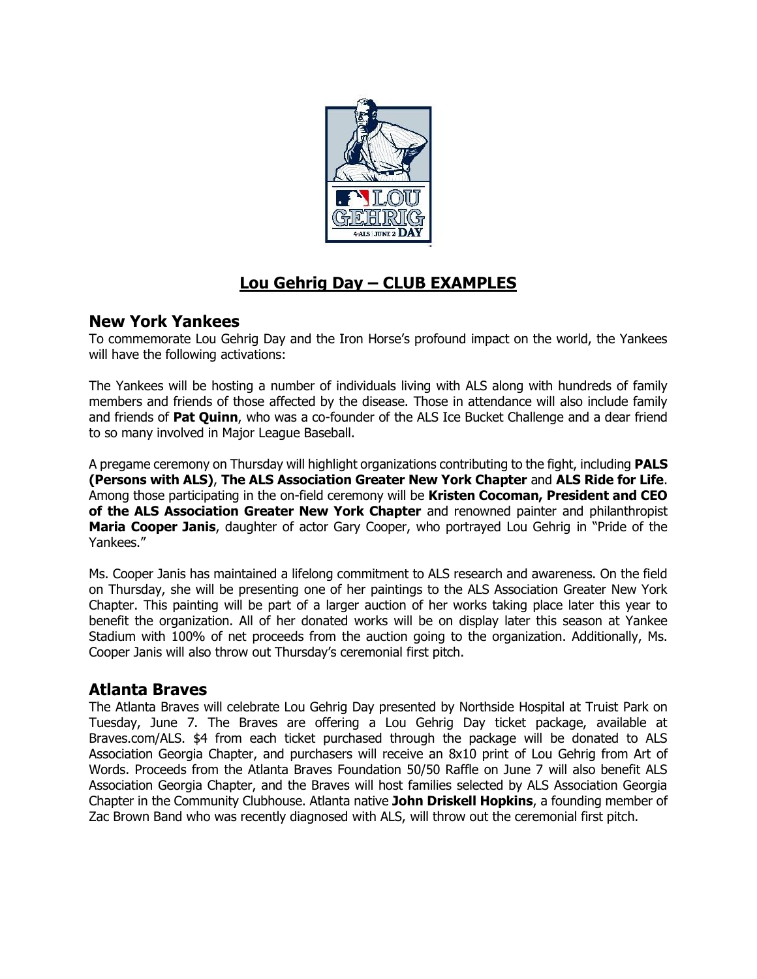

# **Lou Gehrig Day – CLUB EXAMPLES**

### **New York Yankees**

To commemorate Lou Gehrig Day and the Iron Horse's profound impact on the world, the Yankees will have the following activations:

The Yankees will be hosting a number of individuals living with ALS along with hundreds of family members and friends of those affected by the disease. Those in attendance will also include family and friends of **Pat Quinn**, who was a co-founder of the ALS Ice Bucket Challenge and a dear friend to so many involved in Major League Baseball.

A pregame ceremony on Thursday will highlight organizations contributing to the fight, including **PALS (Persons with ALS)**, **The ALS Association Greater New York Chapter** and **ALS Ride for Life**. Among those participating in the on-field ceremony will be **Kristen Cocoman, President and CEO of the ALS Association Greater New York Chapter** and renowned painter and philanthropist **Maria Cooper Janis**, daughter of actor Gary Cooper, who portrayed Lou Gehrig in "Pride of the Yankees."

Ms. Cooper Janis has maintained a lifelong commitment to ALS research and awareness. On the field on Thursday, she will be presenting one of her paintings to the ALS Association Greater New York Chapter. This painting will be part of a larger auction of her works taking place later this year to benefit the organization. All of her donated works will be on display later this season at Yankee Stadium with 100% of net proceeds from the auction going to the organization. Additionally, Ms. Cooper Janis will also throw out Thursday's ceremonial first pitch.

### **Atlanta Braves**

The Atlanta Braves will celebrate Lou Gehrig Day presented by Northside Hospital at Truist Park on Tuesday, June 7. The Braves are offering a Lou Gehrig Day ticket package, available at Braves.com/ALS. \$4 from each ticket purchased through the package will be donated to ALS Association Georgia Chapter, and purchasers will receive an 8x10 print of Lou Gehrig from Art of Words. Proceeds from the Atlanta Braves Foundation 50/50 Raffle on June 7 will also benefit ALS Association Georgia Chapter, and the Braves will host families selected by ALS Association Georgia Chapter in the Community Clubhouse. Atlanta native **John Driskell Hopkins**, a founding member of Zac Brown Band who was recently diagnosed with ALS, will throw out the ceremonial first pitch.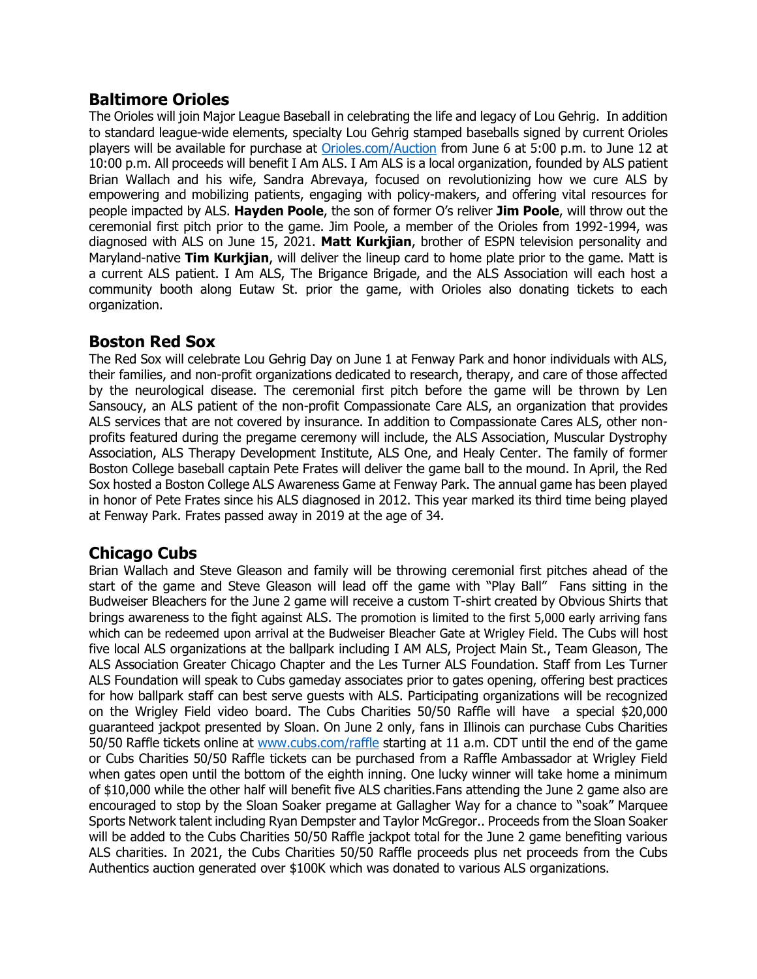### **Baltimore Orioles**

The Orioles will join Major League Baseball in celebrating the life and legacy of Lou Gehrig. In addition to standard league-wide elements, specialty Lou Gehrig stamped baseballs signed by current Orioles players will be available for purchase at [Orioles.com/Auction](http://www.orioles.com/auction) from June 6 at 5:00 p.m. to June 12 at 10:00 p.m. All proceeds will benefit I Am ALS. I Am ALS is a local organization, founded by ALS patient Brian Wallach and his wife, Sandra Abrevaya, focused on revolutionizing how we cure ALS by empowering and mobilizing patients, engaging with policy-makers, and offering vital resources for people impacted by ALS. **Hayden Poole**, the son of former O's reliver **Jim Poole**, will throw out the ceremonial first pitch prior to the game. Jim Poole, a member of the Orioles from 1992-1994, was diagnosed with ALS on June 15, 2021. **Matt Kurkjian**, brother of ESPN television personality and Maryland-native **Tim Kurkjian**, will deliver the lineup card to home plate prior to the game. Matt is a current ALS patient. I Am ALS, The Brigance Brigade, and the ALS Association will each host a community booth along Eutaw St. prior the game, with Orioles also donating tickets to each organization.

### **Boston Red Sox**

The Red Sox will celebrate Lou Gehrig Day on June 1 at Fenway Park and honor individuals with ALS, their families, and non-profit organizations dedicated to research, therapy, and care of those affected by the neurological disease. The ceremonial first pitch before the game will be thrown by Len Sansoucy, an ALS patient of the non-profit Compassionate Care ALS, an organization that provides ALS services that are not covered by insurance. In addition to Compassionate Cares ALS, other nonprofits featured during the pregame ceremony will include, the ALS Association, Muscular Dystrophy Association, ALS Therapy Development Institute, ALS One, and Healy Center. The family of former Boston College baseball captain Pete Frates will deliver the game ball to the mound. In April, the Red Sox hosted a Boston College ALS Awareness Game at Fenway Park. The annual game has been played in honor of Pete Frates since his ALS diagnosed in 2012. This year marked its third time being played at Fenway Park. Frates passed away in 2019 at the age of 34.

### **Chicago Cubs**

Brian Wallach and Steve Gleason and family will be throwing ceremonial first pitches ahead of the start of the game and Steve Gleason will lead off the game with "Play Ball" Fans sitting in the Budweiser Bleachers for the June 2 game will receive a custom T-shirt created by Obvious Shirts that brings awareness to the fight against ALS. The promotion is limited to the first 5,000 early arriving fans which can be redeemed upon arrival at the Budweiser Bleacher Gate at Wrigley Field. The Cubs will host five local ALS organizations at the ballpark including [I AM ALS,](https://urldefense.proofpoint.com/v2/url?u=https-3A__iamals.org_&d=DwMF-g&c=wveiQRxe0XcXhet-EEJuzw&r=iWCV9qJriwFjMyIhg72LrZSiRKFqNJ1ottbyzwiRm5Y&m=fTeBmkLOjlapewe5mCDpw12WQPunJCKSjjInBSnnjpR-y1HOkwbBkkhEvepfyc-7&s=A5aVazCmaRl1ADa7B3pCC4KkTNEEtc68-_BILQ2EB5E&e=) [Project Main St.,](https://urldefense.proofpoint.com/v2/url?u=https-3A__projectmainst.org_&d=DwMF-g&c=wveiQRxe0XcXhet-EEJuzw&r=iWCV9qJriwFjMyIhg72LrZSiRKFqNJ1ottbyzwiRm5Y&m=fTeBmkLOjlapewe5mCDpw12WQPunJCKSjjInBSnnjpR-y1HOkwbBkkhEvepfyc-7&s=66Tp9XMELsAf9f338rocu_XQx_yg-Un_08OZzNLPBIA&e=) [Team Gleason,](https://urldefense.proofpoint.com/v2/url?u=https-3A__teamgleason.org_&d=DwMF-g&c=wveiQRxe0XcXhet-EEJuzw&r=iWCV9qJriwFjMyIhg72LrZSiRKFqNJ1ottbyzwiRm5Y&m=fTeBmkLOjlapewe5mCDpw12WQPunJCKSjjInBSnnjpR-y1HOkwbBkkhEvepfyc-7&s=u7-PI7DzlAqVd0nxN3rOSdZWqFb_vua9u_hInZlL1Iw&e=) [The](https://urldefense.proofpoint.com/v2/url?u=http-3A__webchicago.alsa.org_site_PageServer-3Fpagename-3DCHI-5Fhomepage&d=DwMF-g&c=wveiQRxe0XcXhet-EEJuzw&r=iWCV9qJriwFjMyIhg72LrZSiRKFqNJ1ottbyzwiRm5Y&m=fTeBmkLOjlapewe5mCDpw12WQPunJCKSjjInBSnnjpR-y1HOkwbBkkhEvepfyc-7&s=vUKr89E5ra9cVRqY0uUyT4A79jjfwD4-Bydkyjni5Bc&e=)  [ALS Association Greater Chicago Chapter](https://urldefense.proofpoint.com/v2/url?u=http-3A__webchicago.alsa.org_site_PageServer-3Fpagename-3DCHI-5Fhomepage&d=DwMF-g&c=wveiQRxe0XcXhet-EEJuzw&r=iWCV9qJriwFjMyIhg72LrZSiRKFqNJ1ottbyzwiRm5Y&m=fTeBmkLOjlapewe5mCDpw12WQPunJCKSjjInBSnnjpR-y1HOkwbBkkhEvepfyc-7&s=vUKr89E5ra9cVRqY0uUyT4A79jjfwD4-Bydkyjni5Bc&e=) and the [Les Turner ALS Foundation.](https://urldefense.proofpoint.com/v2/url?u=https-3A__lesturnerals.org_&d=DwMF-g&c=wveiQRxe0XcXhet-EEJuzw&r=iWCV9qJriwFjMyIhg72LrZSiRKFqNJ1ottbyzwiRm5Y&m=fTeBmkLOjlapewe5mCDpw12WQPunJCKSjjInBSnnjpR-y1HOkwbBkkhEvepfyc-7&s=hZAVasbkcCaKsaNOwlDYVVHK8JRCr7qnCl9i5lrHFb4&e=) Staff from Les Turner ALS Foundation will speak to Cubs gameday associates prior to gates opening, offering best practices for how ballpark staff can best serve guests with ALS. Participating organizations will be recognized on the Wrigley Field video board. The Cubs Charities 50/50 Raffle will have a special \$20,000 guaranteed jackpot presented by Sloan. On June 2 only, fans in Illinois can purchase Cubs Charities 50/50 Raffle tickets online at [www.cubs.com/raffle](http://www.cubs.com/raffle) starting at 11 a.m. CDT until the end of the game or Cubs Charities 50/50 Raffle tickets can be purchased from a Raffle Ambassador at Wrigley Field when gates open until the bottom of the eighth inning. One lucky winner will take home a minimum of \$10,000 while the other half will benefit five ALS charities.Fans attending the June 2 game also are encouraged to stop by the Sloan Soaker pregame at Gallagher Way for a chance to "soak" Marquee Sports Network talent including Ryan Dempster and Taylor McGregor.. Proceeds from the Sloan Soaker will be added to the Cubs Charities 50/50 Raffle jackpot total for the June 2 game benefiting various ALS charities. In 2021, the Cubs Charities 50/50 Raffle proceeds plus net proceeds from the Cubs Authentics auction generated over \$100K which was donated to various ALS organizations.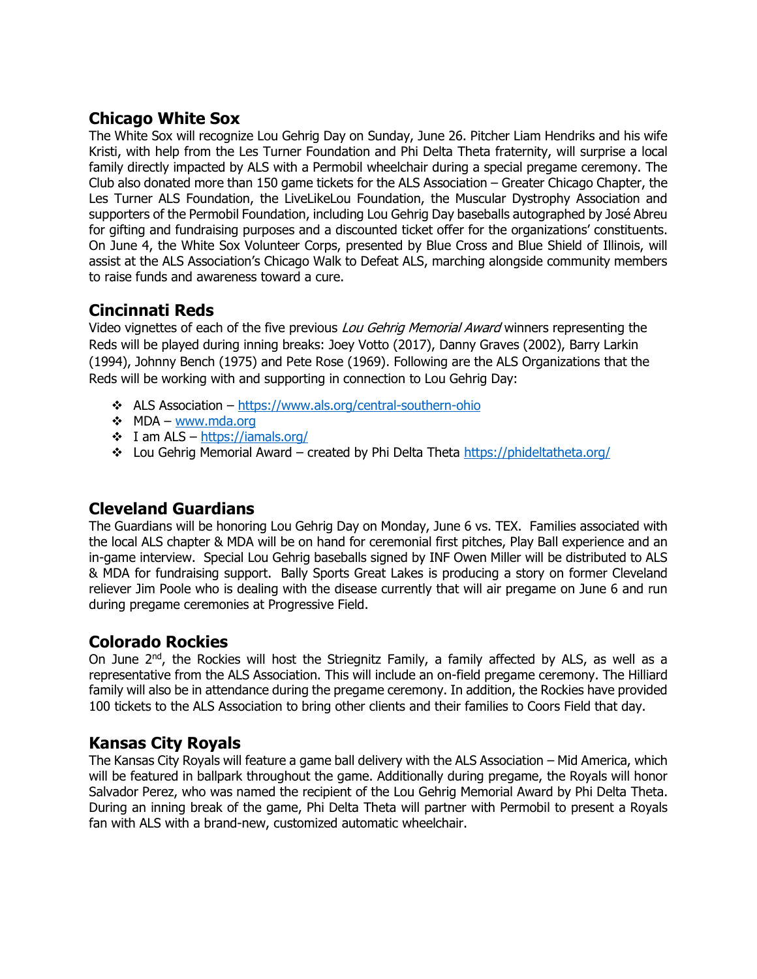# **Chicago White Sox**

The White Sox will recognize Lou Gehrig Day on Sunday, June 26. Pitcher Liam Hendriks and his wife Kristi, with help from the Les Turner Foundation and Phi Delta Theta fraternity, will surprise a local family directly impacted by ALS with a Permobil wheelchair during a special pregame ceremony. The Club also donated more than 150 game tickets for the ALS Association – Greater Chicago Chapter, the Les Turner ALS Foundation, the LiveLikeLou Foundation, the Muscular Dystrophy Association and supporters of the Permobil Foundation, including Lou Gehrig Day baseballs autographed by José Abreu for gifting and fundraising purposes and a discounted ticket offer for the organizations' constituents. On June 4, the White Sox Volunteer Corps, presented by Blue Cross and Blue Shield of Illinois, will assist at the ALS Association's Chicago Walk to Defeat ALS, marching alongside community members to raise funds and awareness toward a cure.

### **Cincinnati Reds**

Video vignettes of each of the five previous Lou Gehrig Memorial Award winners representing the Reds will be played during inning breaks: Joey Votto (2017), Danny Graves (2002), Barry Larkin (1994), Johnny Bench (1975) and Pete Rose (1969). Following are the ALS Organizations that the Reds will be working with and supporting in connection to Lou Gehrig Day:

- ❖ ALS Association [https://www.als.org/central-southern-ohio](https://urldefense.proofpoint.com/v2/url?u=https-3A__www.als.org_central-2Dsouthern-2Dohio&d=DwMGaQ&c=wveiQRxe0XcXhet-EEJuzw&r=oSKH4aM10lrvKZOe790Rg_oM2WvHl7N1oIrmWD--WfU&m=TVGJqQkQCEY8mkV7DaPCqWZYUeoPe1qBsulzF4A8GJtdid_eeJhaVXeBeeh3wzMa&s=uVHWfwTnUOSyW0ZuT5KPNPfnaJKiUE4vFczAREUbzwI&e=)
- ❖ MDA [www.mda.org](https://urldefense.proofpoint.com/v2/url?u=http-3A__www.mda.org&d=DwMGaQ&c=wveiQRxe0XcXhet-EEJuzw&r=oSKH4aM10lrvKZOe790Rg_oM2WvHl7N1oIrmWD--WfU&m=TVGJqQkQCEY8mkV7DaPCqWZYUeoPe1qBsulzF4A8GJtdid_eeJhaVXeBeeh3wzMa&s=wUlEeX64O9vyc2kZ8l5igPRuAv0xwhccZg0lKwnsJg4&e=)
- $\div$  I am ALS https://jamals.org/
- ❖ Lou Gehrig Memorial Award created by Phi Delta Theta [https://phideltatheta.org/](https://urldefense.proofpoint.com/v2/url?u=https-3A__phideltatheta.org_&d=DwMGaQ&c=wveiQRxe0XcXhet-EEJuzw&r=oSKH4aM10lrvKZOe790Rg_oM2WvHl7N1oIrmWD--WfU&m=TVGJqQkQCEY8mkV7DaPCqWZYUeoPe1qBsulzF4A8GJtdid_eeJhaVXeBeeh3wzMa&s=2S_AbBoo1BI3xgk29euKbQ-APkWCEEz3FnS38i7UT58&e=)

### **Cleveland Guardians**

The Guardians will be honoring Lou Gehrig Day on Monday, June 6 vs. TEX. Families associated with the local ALS chapter & MDA will be on hand for ceremonial first pitches, Play Ball experience and an in-game interview. Special Lou Gehrig baseballs signed by INF Owen Miller will be distributed to ALS & MDA for fundraising support. Bally Sports Great Lakes is producing a story on former Cleveland reliever Jim Poole who is dealing with the disease currently that will air pregame on June 6 and run during pregame ceremonies at Progressive Field.

### **Colorado Rockies**

On June 2<sup>nd</sup>, the Rockies will host the Striegnitz Family, a family affected by ALS, as well as a representative from the ALS Association. This will include an on-field pregame ceremony. The Hilliard family will also be in attendance during the pregame ceremony. In addition, the Rockies have provided 100 tickets to the ALS Association to bring other clients and their families to Coors Field that day.

### **Kansas City Royals**

The Kansas City Royals will feature a game ball delivery with the ALS Association – Mid America, which will be featured in ballpark throughout the game. Additionally during pregame, the Royals will honor Salvador Perez, who was named the recipient of the Lou Gehrig Memorial Award by Phi Delta Theta. During an inning break of the game, Phi Delta Theta will partner with Permobil to present a Royals fan with ALS with a brand-new, customized automatic wheelchair.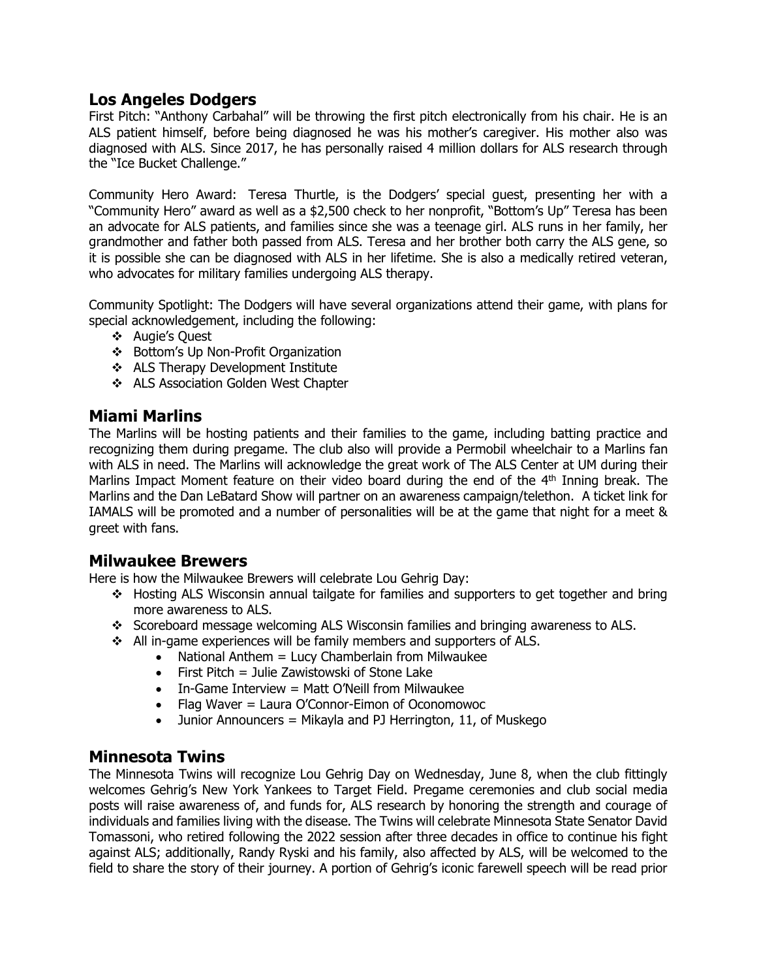#### **Los Angeles Dodgers**

First Pitch: "Anthony Carbahal" will be throwing the first pitch electronically from his chair. He is an ALS patient himself, before being diagnosed he was his mother's caregiver. His mother also was diagnosed with ALS. Since 2017, he has personally raised 4 million dollars for ALS research through the "Ice Bucket Challenge."

Community Hero Award: Teresa Thurtle, is the Dodgers' special guest, presenting her with a "Community Hero" award as well as a \$2,500 check to her nonprofit, "Bottom's Up" Teresa has been an advocate for ALS patients, and families since she was a teenage girl. ALS runs in her family, her grandmother and father both passed from ALS. Teresa and her brother both carry the ALS gene, so it is possible she can be diagnosed with ALS in her lifetime. She is also a medically retired veteran, who advocates for military families undergoing ALS therapy.

Community Spotlight: The Dodgers will have several organizations attend their game, with plans for special acknowledgement, including the following:

- ❖ Augie's Quest
- ❖ Bottom's Up Non-Profit Organization
- ❖ ALS Therapy Development Institute
- ❖ ALS Association Golden West Chapter

#### **Miami Marlins**

The Marlins will be hosting patients and their families to the game, including batting practice and recognizing them during pregame. The club also will provide a Permobil wheelchair to a Marlins fan with ALS in need. The Marlins will acknowledge the great work of The ALS Center at UM during their Marlins Impact Moment feature on their video board during the end of the 4<sup>th</sup> Inning break. The Marlins and the Dan LeBatard Show will partner on an awareness campaign/telethon. A ticket link for IAMALS will be promoted and a number of personalities will be at the game that night for a meet & greet with fans.

#### **Milwaukee Brewers**

Here is how the Milwaukee Brewers will celebrate Lou Gehrig Day:

- ❖ Hosting ALS Wisconsin annual tailgate for families and supporters to get together and bring more awareness to ALS.
- ❖ Scoreboard message welcoming ALS Wisconsin families and bringing awareness to ALS.
- ❖ All in-game experiences will be family members and supporters of ALS.
	- National Anthem = Lucy Chamberlain from Milwaukee
	- First Pitch = Julie Zawistowski of Stone Lake
	- In-Game Interview = Matt O'Neill from Milwaukee
	- Flag Waver = Laura O'Connor-Eimon of Oconomowoc
	- Junior Announcers = Mikayla and PJ Herrington, 11, of Muskego

#### **Minnesota Twins**

The Minnesota Twins will recognize Lou Gehrig Day on Wednesday, June 8, when the club fittingly welcomes Gehrig's New York Yankees to Target Field. Pregame ceremonies and club social media posts will raise awareness of, and funds for, ALS research by honoring the strength and courage of individuals and families living with the disease. The Twins will celebrate Minnesota State Senator David Tomassoni, who retired following the 2022 session after three decades in office to continue his fight against ALS; additionally, Randy Ryski and his family, also affected by ALS, will be welcomed to the field to share the story of their journey. A portion of Gehrig's iconic farewell speech will be read prior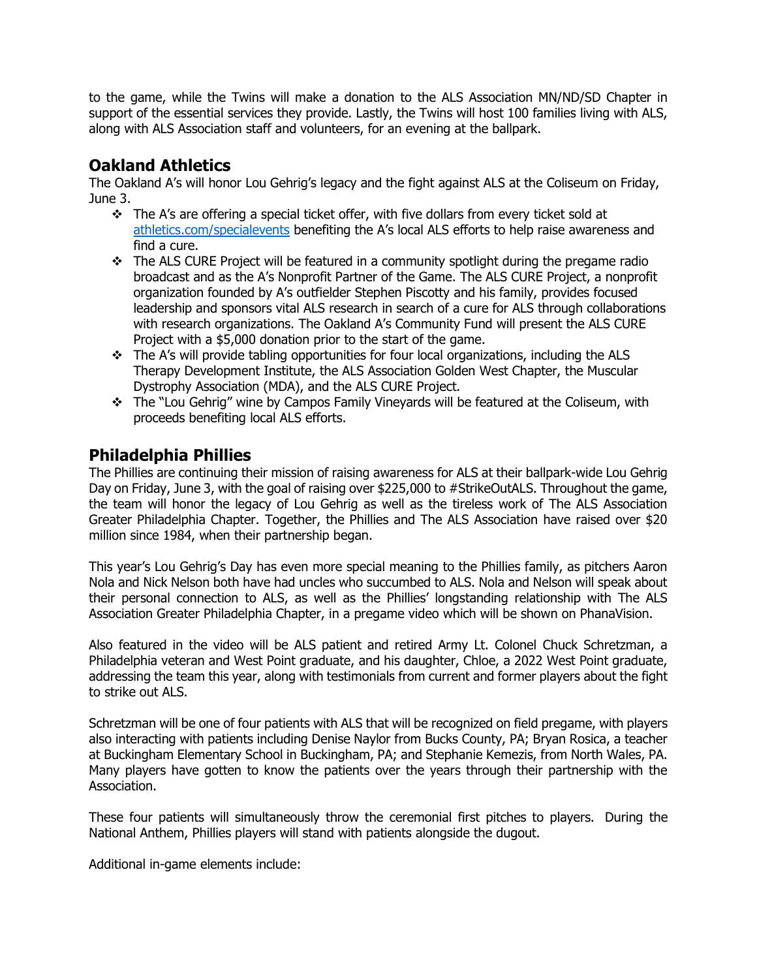to the game, while the Twins will make a donation to the ALS Association MN/ND/SD Chapter in support of the essential services they provide. Lastly, the Twins will host 100 families living with ALS, along with ALS Association staff and volunteers, for an evening at the ballpark.

### **Oakland Athletics**

The Oakland A's will honor Lou Gehrig's legacy and the fight against ALS at the Coliseum on Friday, June 3.

- ❖ The A's are offering a special ticket offer, with five dollars from every ticket sold at [athletics.com/specialevents](https://urldefense.proofpoint.com/v2/url?u=http-3A__athletics.com_specialevents&d=DwMFaQ&c=wveiQRxe0XcXhet-EEJuzw&r=oSKH4aM10lrvKZOe790Rg_oM2WvHl7N1oIrmWD--WfU&m=jQXYr7-4DVgE0NaX0plD71_sirzA3WgP_N_OLFCnUZY0Sz6xtinLUSwzdald7y-c&s=2-W7vfiA3y5ttrv0NHf7XuFVMRzPrW8QOgCXDKcLlJM&e=) benefiting the A's local ALS efforts to help raise awareness and find a cure.
- ❖ The ALS CURE Project will be featured in a community spotlight during the pregame radio broadcast and as the A's Nonprofit Partner of the Game. The ALS CURE Project, a nonprofit organization founded by A's outfielder Stephen Piscotty and his family, provides focused leadership and sponsors vital ALS research in search of a cure for ALS through collaborations with research organizations. The Oakland A's Community Fund will present the ALS CURE Project with a \$5,000 donation prior to the start of the game.
- $\div$  The A's will provide tabling opportunities for four local organizations, including the ALS Therapy Development Institute, the ALS Association Golden West Chapter, the Muscular Dystrophy Association (MDA), and the ALS CURE Project.
- ❖ The "Lou Gehrig" wine by Campos Family Vineyards will be featured at the Coliseum, with proceeds benefiting local ALS efforts.

# **Philadelphia Phillies**

The Phillies are continuing their mission of raising awareness for ALS at their ballpark-wide Lou Gehrig Day on Friday, June 3, with the goal of raising over \$225,000 to #StrikeOutALS. Throughout the game, the team will honor the legacy of Lou Gehrig as well as the tireless work of The ALS Association Greater Philadelphia Chapter. Together, the Phillies and The ALS Association have raised over \$20 million since 1984, when their partnership began.

This year's Lou Gehrig's Day has even more special meaning to the Phillies family, as pitchers Aaron Nola and Nick Nelson both have had uncles who succumbed to ALS. Nola and Nelson will speak about their personal connection to ALS, as well as the Phillies' longstanding relationship with The ALS Association Greater Philadelphia Chapter, in a pregame video which will be shown on PhanaVision.

Also featured in the video will be ALS patient and retired Army Lt. Colonel Chuck Schretzman, a Philadelphia veteran and West Point graduate, and his daughter, Chloe, a 2022 West Point graduate, addressing the team this year, along with testimonials from current and former players about the fight to strike out ALS.

Schretzman will be one of four patients with ALS that will be recognized on field pregame, with players also interacting with patients including Denise Naylor from Bucks County, PA; Bryan Rosica, a teacher at Buckingham Elementary School in Buckingham, PA; and Stephanie Kemezis, from North Wales, PA. Many players have gotten to know the patients over the years through their partnership with the Association.

These four patients will simultaneously throw the ceremonial first pitches to players. During the National Anthem, Phillies players will stand with patients alongside the dugout.

Additional in-game elements include: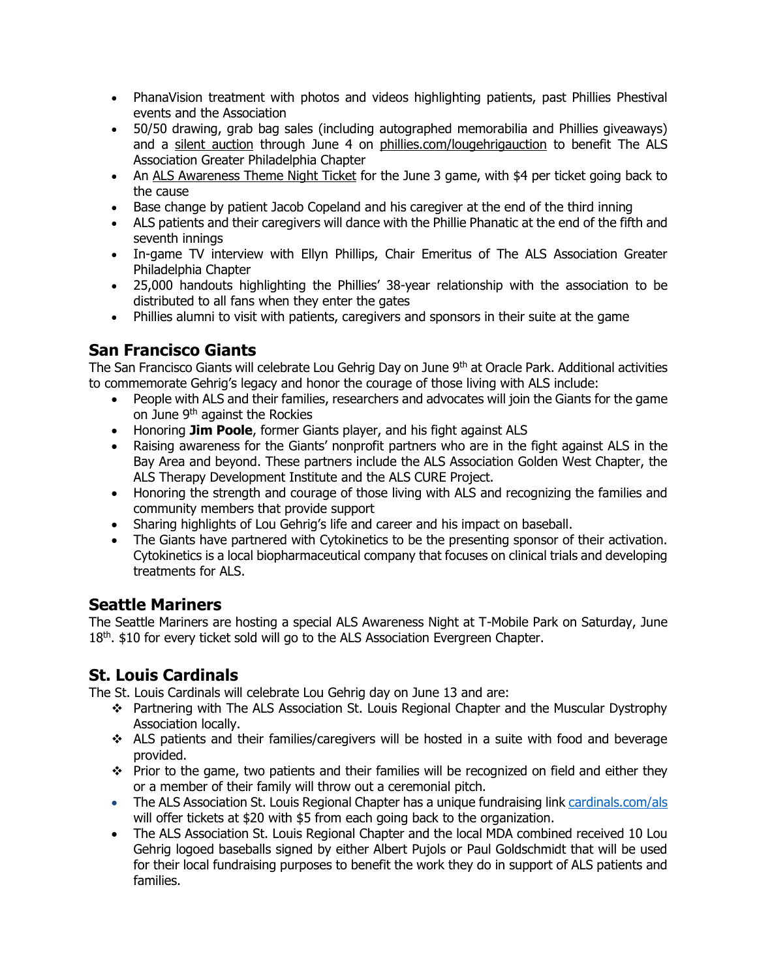- PhanaVision treatment with photos and videos highlighting patients, past Phillies Phestival events and the Association
- 50/50 drawing, grab bag sales (including autographed memorabilia and Phillies giveaways) and a [silent auction](https://phillies.auctions.mlb.com/iSynApp/allAuction.action?sid=1102427&promoGroupList%5b0%5d.strValue1=PHIGEHRIG&rc=25) through June 4 on [phillies.com/lougehrigauction](https://phillies.auctions.mlb.com/iSynApp/allAuction.action?sid=1102427&promoGroupList%5b0%5d.strValue1=PHIGEHRIG&rc=25) to benefit The ALS Association Greater Philadelphia Chapter
- An [ALS Awareness Theme Night Ticket](https://www.mlb.com/phillies/tickets/specials/als-awareness?affiliateId=tdl-Philadelphia_Phillies-Tickets-Phillies_Promotions-single_game_tickets-promo_theme_night_ticket_required-Desktop-Landscape&adobe_mc=MCMID=27020760283790379322371463099691497681&MCORGID=A65F776A5245B01B0A490D44%40AdobeOrg&TS=1654092244) for the June 3 game, with \$4 per ticket going back to the cause
- Base change by patient Jacob Copeland and his caregiver at the end of the third inning
- ALS patients and their caregivers will dance with the Phillie Phanatic at the end of the fifth and seventh innings
- In-game TV interview with Ellyn Phillips, Chair Emeritus of The ALS Association Greater Philadelphia Chapter
- 25,000 handouts highlighting the Phillies' 38-year relationship with the association to be distributed to all fans when they enter the gates
- Phillies alumni to visit with patients, caregivers and sponsors in their suite at the game

# **San Francisco Giants**

The San Francisco Giants will celebrate Lou Gehrig Day on June 9<sup>th</sup> at Oracle Park. Additional activities to commemorate Gehrig's legacy and honor the courage of those living with ALS include:

- People with ALS and their families, researchers and advocates will join the Giants for the game on June 9th against the Rockies
- Honoring **Jim Poole**, former Giants player, and his fight against ALS
- Raising awareness for the Giants' nonprofit partners who are in the fight against ALS in the Bay Area and beyond. These partners include the ALS Association Golden West Chapter, the ALS Therapy Development Institute and the ALS CURE Project.
- Honoring the strength and courage of those living with ALS and recognizing the families and community members that provide support
- Sharing highlights of Lou Gehrig's life and career and his impact on baseball.
- The Giants have partnered with Cytokinetics to be the presenting sponsor of their activation. Cytokinetics is a local biopharmaceutical company that focuses on clinical trials and developing treatments for ALS.

### **Seattle Mariners**

The Seattle Mariners are hosting a special ALS Awareness Night at T-Mobile Park on Saturday, June 18<sup>th</sup>. \$10 for every ticket sold will go to the ALS Association Evergreen Chapter.

### **St. Louis Cardinals**

The St. Louis Cardinals will celebrate Lou Gehrig day on June 13 and are:

- ❖ Partnering with The ALS Association St. Louis Regional Chapter and the Muscular Dystrophy Association locally.
- ❖ ALS patients and their families/caregivers will be hosted in a suite with food and beverage provided.
- ❖ Prior to the game, two patients and their families will be recognized on field and either they or a member of their family will throw out a ceremonial pitch.
- The ALS Association St. Louis Regional Chapter has a unique fundraising link [cardinals.com/als](https://urldefense.proofpoint.com/v2/url?u=http-3A__www.cardinals.com_als&d=DwMF_g&c=wveiQRxe0XcXhet-EEJuzw&r=oSKH4aM10lrvKZOe790Rg_oM2WvHl7N1oIrmWD--WfU&m=x2OPU14y3k48HAeR-MjqW8h_hl_W1x8EqQwKwDbiycEQF8roLc9lSWN7suJId7Gi&s=EQRQBLxRXK_AONsKJHerEY016fAHCyMQKNKF1TVpUSo&e=) will offer tickets at \$20 with \$5 from each going back to the organization.
- The ALS Association St. Louis Regional Chapter and the local MDA combined received 10 Lou Gehrig logoed baseballs signed by either Albert Pujols or Paul Goldschmidt that will be used for their local fundraising purposes to benefit the work they do in support of ALS patients and families.